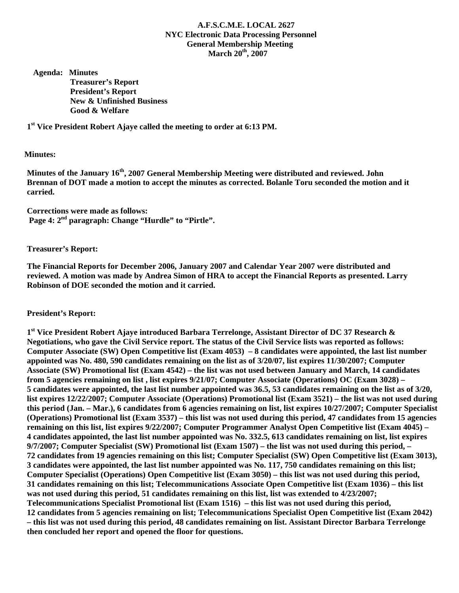### **A.F.S.C.M.E. LOCAL 2627 NYC Electronic Data Processing Personnel General Membership Meeting March 20th, 2007**

 **Agenda: Minutes Treasurer's Report President's Report New & Unfinished Business Good & Welfare** 

**1st Vice President Robert Ajaye called the meeting to order at 6:13 PM.** 

#### **Minutes:**

**Minutes of the January 16th, 2007 General Membership Meeting were distributed and reviewed. John Brennan of DOT made a motion to accept the minutes as corrected. Bolanle Toru seconded the motion and it carried.** 

**Corrections were made as follows:**  Page 4: 2<sup>nd</sup> paragraph: Change "Hurdle" to "Pirtle".

**Treasurer's Report:** 

**The Financial Reports for December 2006, January 2007 and Calendar Year 2007 were distributed and reviewed. A motion was made by Andrea Simon of HRA to accept the Financial Reports as presented. Larry Robinson of DOE seconded the motion and it carried.** 

### **President's Report:**

**1st Vice President Robert Ajaye introduced Barbara Terrelonge, Assistant Director of DC 37 Research & Negotiations, who gave the Civil Service report. The status of the Civil Service lists was reported as follows: Computer Associate (SW) Open Competitive list (Exam 4053) – 8 candidates were appointed, the last list number appointed was No. 480, 590 candidates remaining on the list as of 3/20/07, list expires 11/30/2007; Computer Associate (SW) Promotional list (Exam 4542) – the list was not used between January and March, 14 candidates from 5 agencies remaining on list , list expires 9/21/07; Computer Associate (Operations) OC (Exam 3028) – 5 candidates were appointed, the last list number appointed was 36.5, 53 candidates remaining on the list as of 3/20, list expires 12/22/2007; Computer Associate (Operations) Promotional list (Exam 3521) – the list was not used during this period (Jan. – Mar.), 6 candidates from 6 agencies remaining on list, list expires 10/27/2007; Computer Specialist (Operations) Promotional list (Exam 3537) – this list was not used during this period, 47 candidates from 15 agencies remaining on this list, list expires 9/22/2007; Computer Programmer Analyst Open Competitive list (Exam 4045) – 4 candidates appointed, the last list number appointed was No. 332.5, 613 candidates remaining on list, list expires 9/7/2007; Computer Specialist (SW) Promotional list (Exam 1507) – the list was not used during this period, – 72 candidates from 19 agencies remaining on this list; Computer Specialist (SW) Open Competitive list (Exam 3013), 3 candidates were appointed, the last list number appointed was No. 117, 750 candidates remaining on this list; Computer Specialist (Operations) Open Competitive list (Exam 3050) – this list was not used during this period, 31 candidates remaining on this list; Telecommunications Associate Open Competitive list (Exam 1036) – this list was not used during this period, 51 candidates remaining on this list, list was extended to 4/23/2007; Telecommunications Specialist Promotional list (Exam 1516) – this list was not used during this period, 12 candidates from 5 agencies remaining on list; Telecommunications Specialist Open Competitive list (Exam 2042) – this list was not used during this period, 48 candidates remaining on list. Assistant Director Barbara Terrelonge then concluded her report and opened the floor for questions.**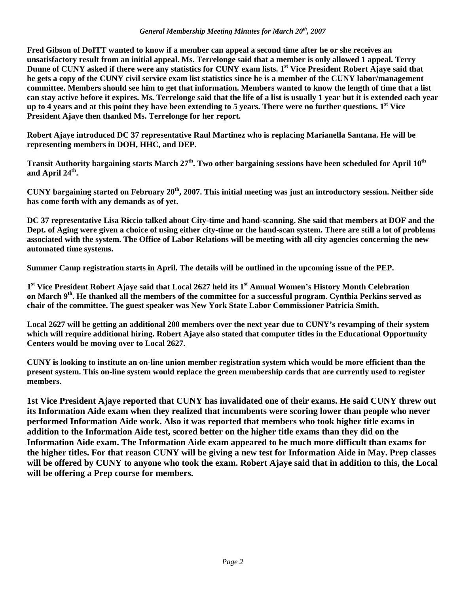**Fred Gibson of DoITT wanted to know if a member can appeal a second time after he or she receives an unsatisfactory result from an initial appeal. Ms. Terrelonge said that a member is only allowed 1 appeal. Terry Dunne of CUNY asked if there were any statistics for CUNY exam lists. 1st Vice President Robert Ajaye said that he gets a copy of the CUNY civil service exam list statistics since he is a member of the CUNY labor/management committee. Members should see him to get that information. Members wanted to know the length of time that a list can stay active before it expires. Ms. Terrelonge said that the life of a list is usually 1 year but it is extended each year up to 4 years and at this point they have been extending to 5 years. There were no further questions. 1st Vice President Ajaye then thanked Ms. Terrelonge for her report.** 

**Robert Ajaye introduced DC 37 representative Raul Martinez who is replacing Marianella Santana. He will be representing members in DOH, HHC, and DEP.** 

**Transit Authority bargaining starts March 27<sup>th</sup>. Two other bargaining sessions have been scheduled for April 10<sup>th</sup>** and April 24<sup>th</sup>.

CUNY bargaining started on February 20<sup>th</sup>, 2007. This initial meeting was just an introductory session. Neither side **has come forth with any demands as of yet.** 

**DC 37 representative Lisa Riccio talked about City-time and hand-scanning. She said that members at DOF and the Dept. of Aging were given a choice of using either city-time or the hand-scan system. There are still a lot of problems associated with the system. The Office of Labor Relations will be meeting with all city agencies concerning the new automated time systems.** 

**Summer Camp registration starts in April. The details will be outlined in the upcoming issue of the PEP.** 

1<sup>st</sup> Vice President Robert Ajaye said that Local 2627 held its 1<sup>st</sup> Annual Women's History Month Celebration **on March 9th. He thanked all the members of the committee for a successful program. Cynthia Perkins served as chair of the committee. The guest speaker was New York State Labor Commissioner Patricia Smith.** 

**Local 2627 will be getting an additional 200 members over the next year due to CUNY's revamping of their system which will require additional hiring. Robert Ajaye also stated that computer titles in the Educational Opportunity Centers would be moving over to Local 2627.** 

**CUNY is looking to institute an on-line union member registration system which would be more efficient than the present system. This on-line system would replace the green membership cards that are currently used to register members.** 

**1st Vice President Ajaye reported that CUNY has invalidated one of their exams. He said CUNY threw out its Information Aide exam when they realized that incumbents were scoring lower than people who never performed Information Aide work. Also it was reported that members who took higher title exams in addition to the Information Aide test, scored better on the higher title exams than they did on the Information Aide exam. The Information Aide exam appeared to be much more difficult than exams for the higher titles. For that reason CUNY will be giving a new test for Information Aide in May. Prep classes will be offered by CUNY to anyone who took the exam. Robert Ajaye said that in addition to this, the Local will be offering a Prep course for members.**